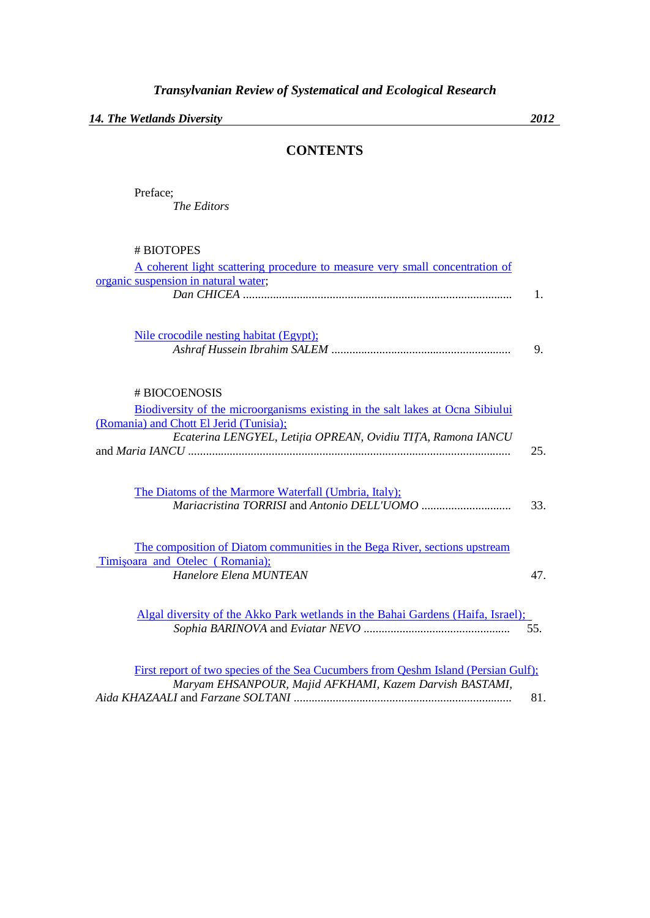*14. The Wetlands Diversity 2012*

## **CONTENTS**

Preface; *The Editors*

| # BIOTOPES                                                                      |                |
|---------------------------------------------------------------------------------|----------------|
| A coherent light scattering procedure to measure very small concentration of    |                |
| organic suspension in natural water;                                            |                |
|                                                                                 | $\mathbf{1}$ . |
|                                                                                 |                |
| Nile crocodile nesting habitat (Egypt);                                         |                |
|                                                                                 | 9.             |
|                                                                                 |                |
| # BIOCOENOSIS                                                                   |                |
| Biodiversity of the microorganisms existing in the salt lakes at Ocna Sibiului  |                |
| (Romania) and Chott El Jerid (Tunisia);                                         |                |
| Ecaterina LENGYEL, Letiția OPREAN, Ovidiu TIȚA, Ramona IANCU                    |                |
|                                                                                 | 25.            |
|                                                                                 |                |
| The Diatoms of the Marmore Waterfall (Umbria, Italy);                           |                |
|                                                                                 | 33.            |
|                                                                                 |                |
| The composition of Diatom communities in the Bega River, sections upstream      |                |
| Timișoara and Otelec (Romania);                                                 |                |
| Hanelore Elena MUNTEAN                                                          | 47.            |
|                                                                                 |                |
| Algal diversity of the Akko Park wetlands in the Bahai Gardens (Haifa, Israel); |                |
|                                                                                 | 55.            |

| First report of two species of the Sea Cucumbers from Oeshm Island (Persian Gulf); |     |
|------------------------------------------------------------------------------------|-----|
| Maryam EHSANPOUR, Majid AFKHAMI, Kazem Darvish BASTAMI,                            |     |
|                                                                                    | 81. |

*Sophia BARINOVA* and *Eviatar NEVO* ................................................. 55.